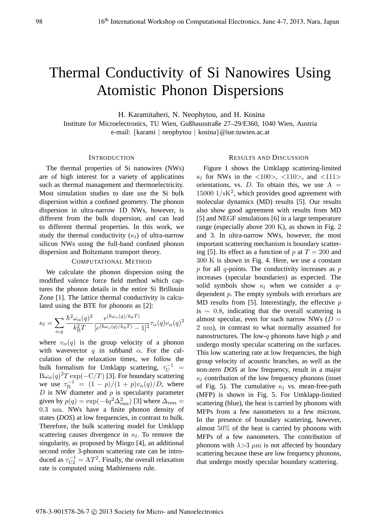# Thermal Conductivity of Si Nanowires Using Atomistic Phonon Dispersions

H. Karamitaheri, N. Neophytou, and H. Kosina

Institute for Microelectronics, TU Wien, Gußhausstraße 27–29/E360, 1040 Wien, Austria e-mail: {karami | neophytou | kosina}@iue.tuwien.ac.at

# INTRODUCTION

The thermal properties of Si nanowires (NWs) are of high interest for a variety of applications such as thermal management and thermoelectricity. Most simulation studies to date use the Si bulk dispersion within a confined geometry. The phonon dispersion in ultra-narrow 1D NWs, however, is different from the bulk dispersion, and can lead to different thermal properties. In this work, we study the thermal conductivity  $(\kappa_l)$  of ultra-narrow silicon NWs using the full-band confined phonon dispersion and Boltzmann transport theory.

## COMPUTATIONAL METHOD

We calculate the phonon dispersion using the modified valence force field method which captures the phonon details in the entire Si Brillouin Zone [1]. The lattice thermal conductivity is calculated using the BTE for phonons as [2]:

$$
\kappa_l = \sum_{\alpha,q} \frac{\hbar^2 \omega_\alpha(q)^2}{k_\text{B}^2 T} \frac{e^{(\hbar \omega_\alpha(q)/k_\text{B}T)}}{[e^{(\hbar \omega_\alpha(q)/k_\text{B}T)} - 1]^2} \tau_\alpha(q) v_\alpha(q)^2
$$

where  $v_{\alpha}(q)$  is the group velocity of a phonon with wavevector  $q$  in subband  $\alpha$ . For the calculation of the relaxation times, we follow the bulk formalism for Umklapp scattering,  $\tau_U^{-1} =$ <br>B<sub>(a)</sub>  $(a)^2 T \exp(-C/T)$  [3] For boundary scattering  $B\omega_{\alpha}(q)^{2}T\exp(-C/T)$  [3]. For boundary scattering<br>we use  $\tau^{-1} = (1 - n)/(1 + n)$ <sup>n</sup> (a)/D, where we use  $\tau_{\rm B}^{-1} = (1-p)/(1+p)v_{\alpha}(q)/D$ , where<br>D is NW diameter and n is specularity parameter  $D$  is NW diameter and  $p$  is specularity parameter given by  $p(q) = \exp(-4q^2 \Delta_{\text{rms}}^2)$  [3] where  $\Delta_{\text{rms}} = 0.3 \text{ nm}$ . NWs, have a finite phonon density of <sup>0</sup>.3 nm. NWs have a finite phonon density of states (*DOS*) at low frequencies, in contrast to bulk. Therefore, the bulk scattering model for Umklapp scattering causes divergence in  $\kappa_l$ . To remove the singularity as proposed by Mingo [4], an additional singularity, as proposed by Mingo [4], an additional second order 3-phonon scattering rate can be introduced as  $\tau_{U2}^{-1} = AT^2$ . Finally, the overall relaxation rate is computed using Mathiensens rule rate is computed using Mathiensens rule.

#### RESULTS AND DISCUSSION

Figure 1 shows the Umklapp scattering-limited  $\kappa_l$  for NWs in the  $\langle 100 \rangle$ ,  $\langle 110 \rangle$ , and  $\langle 111 \rangle$ orientations, vs. D. To obtain this, we use  $A =$  $15000 \frac{1}{8}K^2$ , which provides good agreement with molecular dynamics (MD) results [51]. Our results molecular dynamics (MD) results [5]. Our results also show good agreement with results from MD [5] and NEGF simulations [6] in a large temperature range (especially above 200 K), as shown in Fig. 2 and 3. In ultra-narrow NWs, however, the most important scattering mechanism is boundary scattering [5]. Its effect as a function of p at  $T = 200$  and 300 K is shown in Fig. 4. Here, we use a constant  $p$  for all  $q$ -points. The conductivity increases as  $p$ increases (specular boundaries) as expected. The solid symbols show  $\kappa_l$  when we consider a qdependent p. The empty symbols with errorbars are MD results from [5]. Interestingly, the effective  $p$ is  $\sim$  0.8, indicating that the overall scattering is almost specular, even for such narrow NWs  $(D =$ 2 nm), in contrast to what normally assumed for nanostructures. The low-q phonons have high  $p$  and undergo mostly specular scattering on the surfaces. This low scattering rate at low frequencies, the high group velocity of acoustic branches, as well as the non-zero *DOS* at low frequency, result in a major  $\kappa_l$  contribution of the low frequency phonons (inset of Fig. 5). The cumulative  $\kappa_l$  vs. mean-free-path (MFP) is shown in Fig. 5. For Umklapp-limited scattering (blue), the heat is carried by phonons with MFPs from a few nanometers to a few microns. In the presence of boundary scattering, however, almost 50% of the heat is carried by phonons with MFPs of a few nanometers. The contribution of phonons with  $\lambda > 3$   $\mu$ m is not affected by boundary scattering because these are low frequency phonons, that undergo mostly specular boundary scattering.